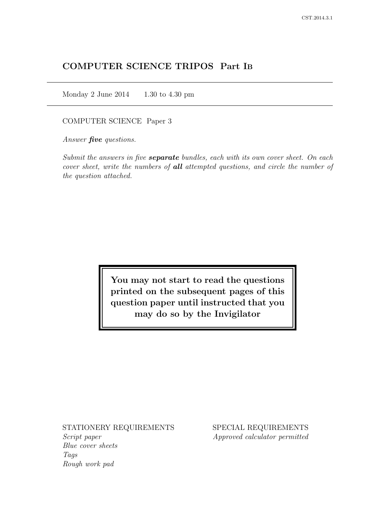# COMPUTER SCIENCE TRIPOS Part IB

Monday 2 June 2014 1.30 to 4.30 pm

COMPUTER SCIENCE Paper 3

Answer *five* questions.

Submit the answers in five **separate** bundles, each with its own cover sheet. On each cover sheet, write the numbers of **all** attempted questions, and circle the number of the question attached.

> You may not start to read the questions printed on the subsequent pages of this question paper until instructed that you may do so by the Invigilator

STATIONERY REQUIREMENTS

Script paper Blue cover sheets Tags Rough work pad

SPECIAL REQUIREMENTS Approved calculator permitted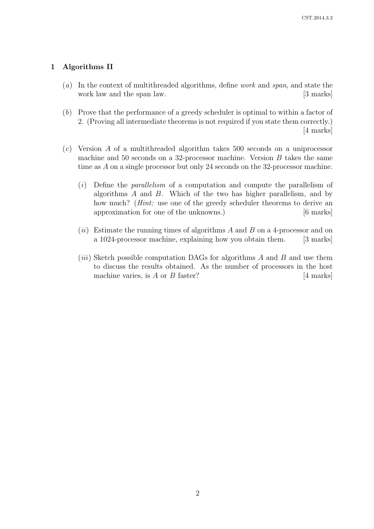## 1 Algorithms II

- (a) In the context of multithreaded algorithms, define *work* and *span*, and state the work law and the span law. [3 marks]
- (b) Prove that the performance of a greedy scheduler is optimal to within a factor of 2. (Proving all intermediate theorems is not required if you state them correctly.) [4 marks]
- (c) Version A of a multithreaded algorithm takes 500 seconds on a uniprocessor machine and 50 seconds on a 32-processor machine. Version  $B$  takes the same time as A on a single processor but only 24 seconds on the 32-processor machine.
	- (i) Define the parallelism of a computation and compute the parallelism of algorithms A and B. Which of the two has higher parallelism, and by how much? (*Hint*: use one of the greedy scheduler theorems to derive an approximation for one of the unknowns.) [6 marks]
	- $(ii)$  Estimate the running times of algorithms A and B on a 4-processor and on a 1024-processor machine, explaining how you obtain them. [3 marks]
	- $(iii)$  Sketch possible computation DAGs for algorithms A and B and use them to discuss the results obtained. As the number of processors in the host machine varies, is  $A$  or  $B$  faster? [4 marks]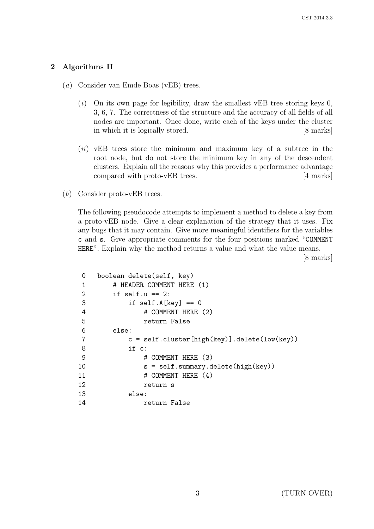## 2 Algorithms II

- (a) Consider van Emde Boas (vEB) trees.
	- $(i)$  On its own page for legibility, draw the smallest vEB tree storing keys 0, 3, 6, 7. The correctness of the structure and the accuracy of all fields of all nodes are important. Once done, write each of the keys under the cluster in which it is logically stored. [8 marks]
	- $(ii)$  vEB trees store the minimum and maximum key of a subtree in the root node, but do not store the minimum key in any of the descendent clusters. Explain all the reasons why this provides a performance advantage compared with proto-vEB trees. [4 marks]
- (b) Consider proto-vEB trees.

The following pseudocode attempts to implement a method to delete a key from a proto-vEB node. Give a clear explanation of the strategy that it uses. Fix any bugs that it may contain. Give more meaningful identifiers for the variables c and s. Give appropriate comments for the four positions marked "COMMENT HERE". Explain why the method returns a value and what the value means.

[8 marks]

| 0              | boolean delete(self, key)                       |
|----------------|-------------------------------------------------|
| 1              | # HEADER COMMENT HERE (1)                       |
| 2              | if $self.u == 2$ :                              |
| 3              | if $self.A[key] == 0$                           |
| 4              | # COMMENT HERE (2)                              |
| 5              | return False                                    |
| 6              | else:                                           |
| $\overline{7}$ | $c = self-cluster[high(key)]$ .delete(low(key)) |
| 8              | if c:                                           |
| 9              | # COMMENT HERE (3)                              |
| 10             | $s = self.summary.delete(high(key))$            |
| 11             | # COMMENT HERE (4)                              |
| 12             | return s                                        |
| 13             | else:                                           |
| 14             | return False                                    |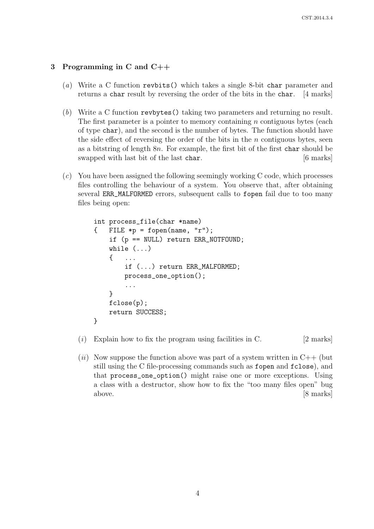## 3 Programming in C and C++

- (a) Write a C function revbits() which takes a single 8-bit char parameter and returns a char result by reversing the order of the bits in the char. [4 marks]
- (b) Write a C function revbytes() taking two parameters and returning no result. The first parameter is a pointer to memory containing  $n$  contiguous bytes (each of type char), and the second is the number of bytes. The function should have the side effect of reversing the order of the bits in the  $n$  contiguous bytes, seen as a bitstring of length  $8n$ . For example, the first bit of the first char should be swapped with last bit of the last char. [6 marks]
- $(c)$  You have been assigned the following seemingly working C code, which processes files controlling the behaviour of a system. You observe that, after obtaining several ERR\_MALFORMED errors, subsequent calls to fopen fail due to too many files being open:

```
int process_file(char *name)
{ FILE *p = fopen(name, "r");
    if (p == NULL) return ERR_NOTFOUND;
    while (\ldots){ ...
        if (...) return ERR_MALFORMED;
        process_one_option();
        ...
    }
    fclose(p);
    return SUCCESS;
}
```
(*i*) Explain how to fix the program using facilities in C.  $[2 \text{ marks}]$ 

(ii) Now suppose the function above was part of a system written in  $C_{++}$  (but still using the C file-processing commands such as fopen and fclose), and that process\_one\_option() might raise one or more exceptions. Using a class with a destructor, show how to fix the "too many files open" bug above. [8 marks]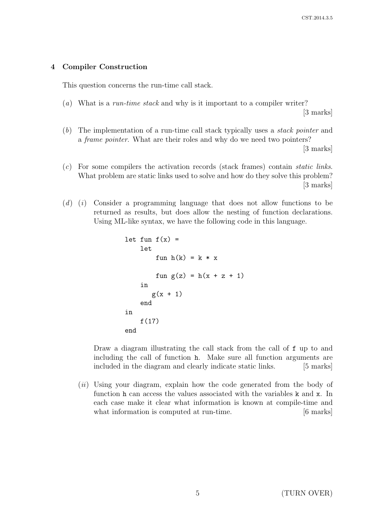### 4 Compiler Construction

This question concerns the run-time call stack.

(a) What is a run-time stack and why is it important to a compiler writer?

[3 marks]

(b) The implementation of a run-time call stack typically uses a stack pointer and a frame pointer. What are their roles and why do we need two pointers?

[3 marks]

- (c) For some compilers the activation records (stack frames) contain static links. What problem are static links used to solve and how do they solve this problem? [3 marks]
- $(d)$  (i) Consider a programming language that does not allow functions to be returned as results, but does allow the nesting of function declarations. Using ML-like syntax, we have the following code in this language.

```
let fun f(x) =let
        fun h(k) = k * xfun g(z) = h(x + z + 1)in
       g(x + 1)end
in
   f(17)
end
```
Draw a diagram illustrating the call stack from the call of  $f$  up to and including the call of function h. Make sure all function arguments are included in the diagram and clearly indicate static links. [5 marks]

(*ii*) Using your diagram, explain how the code generated from the body of function h can access the values associated with the variables k and x. In each case make it clear what information is known at compile-time and what information is computed at run-time. [6 marks]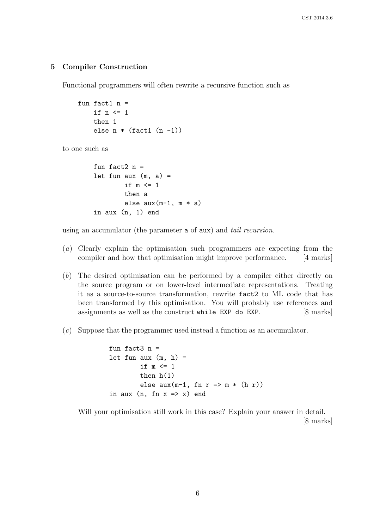#### 5 Compiler Construction

Functional programmers will often rewrite a recursive function such as

```
fun fact1 n =if n <= 1
   then 1
    else n * (fact1 (n -1))
```
to one such as

```
fun fact2 n =let fun aux (m, a) =
        if m \leq 1then a
        else aux(m-1, m * a)in aux (n, 1) end
```
using an accumulator (the parameter a of aux) and tail recursion.

- (a) Clearly explain the optimisation such programmers are expecting from the compiler and how that optimisation might improve performance. [4 marks]
- (b) The desired optimisation can be performed by a compiler either directly on the source program or on lower-level intermediate representations. Treating it as a source-to-source transformation, rewrite fact2 to ML code that has been transformed by this optimisation. You will probably use references and assignments as well as the construct while EXP do EXP. [8 marks]
- (c) Suppose that the programmer used instead a function as an accumulator.

```
fun fact3 n =let fun aux (m, h) =
         if m <= 1
         then h(1)
         else aux(m-1, fn r \Rightarrow m * (h r))in aux (n, fin x \Rightarrow x) end
```
Will your optimisation still work in this case? Explain your answer in detail. [8 marks]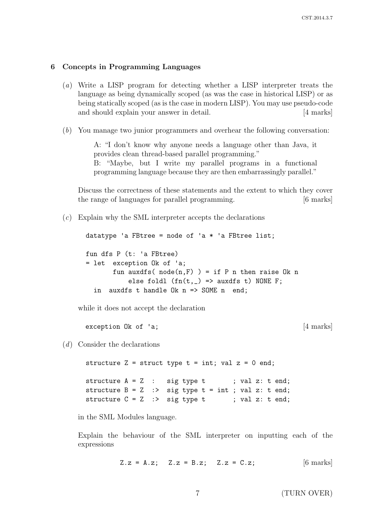#### 6 Concepts in Programming Languages

- (a) Write a LISP program for detecting whether a LISP interpreter treats the language as being dynamically scoped (as was the case in historical LISP) or as being statically scoped (as is the case in modern LISP). You may use pseudo-code and should explain your answer in detail. [4 marks]
- (b) You manage two junior programmers and overhear the following conversation:

A: "I don't know why anyone needs a language other than Java, it provides clean thread-based parallel programming." B: "Maybe, but I write my parallel programs in a functional programming language because they are then embarrassingly parallel."

Discuss the correctness of these statements and the extent to which they cover the range of languages for parallel programming. [6 marks]

 $(c)$  Explain why the SML interpreter accepts the declarations

datatype 'a FBtree = node of 'a  $*$  'a FBtree list; fun dfs P (t: 'a FBtree) = let exception Ok of 'a; fun auxdfs( $node(n, F)$ ) = if P n then raise Ok n else foldl  $(fn(t,$   $)$  => auxdfs t) NONE F; in auxdfs t handle Ok n => SOME n end;

while it does not accept the declaration

exception Ok of 'a; [4 marks]

(d) Consider the declarations

```
structure Z = struct type t = int; val z = 0 end;
structure A = Z : sig type t ; val z: t end;
structure B = Z :> sig type t = int; val z: t end;
structure C = Z :> sig type t ; val z: t end;
```
in the SML Modules language.

Explain the behaviour of the SML interpreter on inputting each of the expressions

$$
Z.z = A.z;
$$
  $Z.z = B.z;$   $Z.z = C.z;$  [6 marks]

7 (TURN OVER)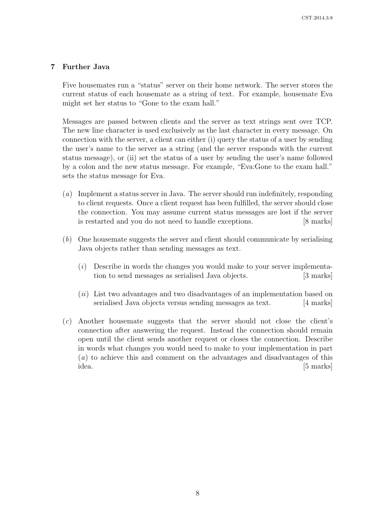## 7 Further Java

Five housemates run a "status" server on their home network. The server stores the current status of each housemate as a string of text. For example, housemate Eva might set her status to "Gone to the exam hall."

Messages are passed between clients and the server as text strings sent over TCP. The new line character is used exclusively as the last character in every message. On connection with the server, a client can either (i) query the status of a user by sending the user's name to the server as a string (and the server responds with the current status message), or (ii) set the status of a user by sending the user's name followed by a colon and the new status message. For example, "Eva:Gone to the exam hall." sets the status message for Eva.

- (a) Implement a status server in Java. The server should run indefinitely, responding to client requests. Once a client request has been fulfilled, the server should close the connection. You may assume current status messages are lost if the server is restarted and you do not need to handle exceptions. [8 marks]
- (b) One housemate suggests the server and client should communicate by serialising Java objects rather than sending messages as text.
	- $(i)$  Describe in words the changes you would make to your server implementation to send messages as serialised Java objects. [3 marks]
	- $(ii)$  List two advantages and two disadvantages of an implementation based on serialised Java objects versus sending messages as text. [4 marks]
- (c) Another housemate suggests that the server should not close the client's connection after answering the request. Instead the connection should remain open until the client sends another request or closes the connection. Describe in words what changes you would need to make to your implementation in part (a) to achieve this and comment on the advantages and disadvantages of this idea. [5 marks]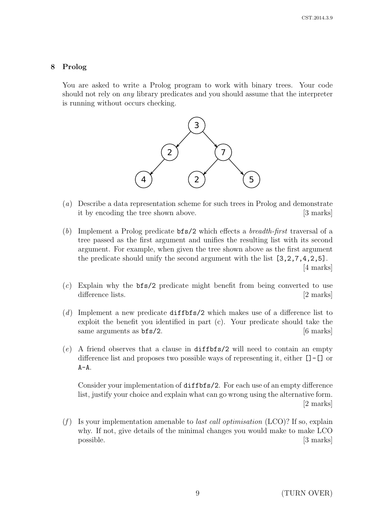#### 8 Prolog

You are asked to write a Prolog program to work with binary trees. Your code should not rely on any library predicates and you should assume that the interpreter is running without occurs checking.



- (a) Describe a data representation scheme for such trees in Prolog and demonstrate it by encoding the tree shown above. [3 marks]
- (b) Implement a Prolog predicate bfs/2 which effects a breadth-first traversal of a tree passed as the first argument and unifies the resulting list with its second argument. For example, when given the tree shown above as the first argument the predicate should unify the second argument with the list [3,2,7,4,2,5]. [4 marks]
- (c) Explain why the bfs/2 predicate might benefit from being converted to use difference lists. [2 marks]
- $(d)$  Implement a new predicate diffbfs/2 which makes use of a difference list to exploit the benefit you identified in part (c). Your predicate should take the same arguments as  $\frac{6}{5}$ /2. [6 marks]
- $(e)$  A friend observes that a clause in diffbfs/2 will need to contain an empty difference list and proposes two possible ways of representing it, either  $[]$  –  $[]$  or  $A - A$ .

Consider your implementation of diffbfs/2. For each use of an empty difference list, justify your choice and explain what can go wrong using the alternative form. [2 marks]

(f) Is your implementation amenable to *last call optimisation* (LCO)? If so, explain why. If not, give details of the minimal changes you would make to make LCO possible. [3 marks]